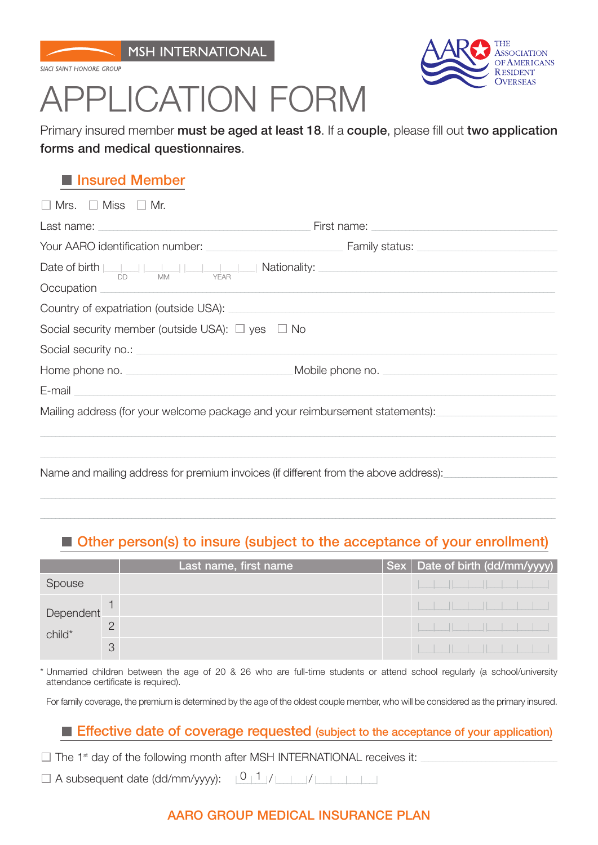SIACI SAINT HONORE GROUP



# **ICATION FORM**

Primary insured member **must be aged at least 18**. If a **couple**, please fill out **two application forms and medical questionnaires**.

# **Insured Member**

| $\Box$ Mrs. $\Box$ Miss $\Box$ Mr.                                                                                                                                                                                             |  |
|--------------------------------------------------------------------------------------------------------------------------------------------------------------------------------------------------------------------------------|--|
|                                                                                                                                                                                                                                |  |
|                                                                                                                                                                                                                                |  |
| Date of birth $\frac{1}{\sqrt{D}}$ $\frac{1}{\sqrt{M}}$ $\frac{1}{\sqrt{EAR}}$ Nationality:                                                                                                                                    |  |
|                                                                                                                                                                                                                                |  |
|                                                                                                                                                                                                                                |  |
| Social security member (outside USA): $\Box$ yes $\Box$ No                                                                                                                                                                     |  |
| Social security no.: example and a security no security and a security no security and a security no security                                                                                                                  |  |
|                                                                                                                                                                                                                                |  |
| E-mail entrepreneurs and the contract of the contract of the contract of the contract of the contract of the contract of the contract of the contract of the contract of the contract of the contract of the contract of the c |  |
| Mailing address (for your welcome package and your reimbursement statements):                                                                                                                                                  |  |
|                                                                                                                                                                                                                                |  |
|                                                                                                                                                                                                                                |  |
| Name and mailing address for premium invoices (if different from the above address):                                                                                                                                           |  |
|                                                                                                                                                                                                                                |  |

# **Other person(s) to insure (subject to the acceptance of your enrollment)**

|                     |   | Last name, first name | Sex   Date of birth (dd/mm/yyyy) |  |                                                                                                                      |  |  |                                                                                                                      |  |
|---------------------|---|-----------------------|----------------------------------|--|----------------------------------------------------------------------------------------------------------------------|--|--|----------------------------------------------------------------------------------------------------------------------|--|
| Spouse              |   |                       |                                  |  |                                                                                                                      |  |  | الطاحلة والطابط المناسب                                                                                              |  |
| Dependent<br>child* |   |                       |                                  |  |                                                                                                                      |  |  | <u> Kanton kata kalendar kalendar (</u>                                                                              |  |
|                     |   |                       |                                  |  |                                                                                                                      |  |  | <u> Electronic de la contrada de la contrada de la contrada de la contrada de la contrada de la contrada de la c</u> |  |
|                     | 3 |                       |                                  |  | <u>te de la contenta de la contenta de la contenta de la contenta de la contenta de la contenta de la contenta d</u> |  |  |                                                                                                                      |  |

\* Unmarried children between the age of 20 & 26 who are full-time students or attend school regularly (a school/university attendance certificate is required).

For family coverage, the premium is determined by the age of the oldest couple member, who will be considered as the primary insured.

## **Effective date of coverage requested (subject to the acceptance of your application)**

 $\Box$  The 1<sup>st</sup> day of the following month after MSH INTERNATIONAL receives it:

A subsequent date (dd/mm/yyyy): |\_\_\_\_|\_\_\_\_|/ |\_\_\_\_|\_\_\_\_|/ |\_\_\_\_|\_\_\_\_|\_\_\_\_|\_\_\_\_| 0 1

## **AARO GROUP MEDICAL INSURANCE PLAN**